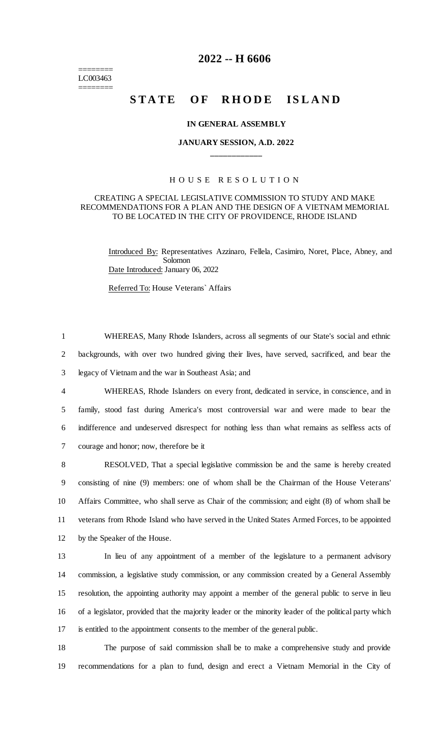======== LC003463 ========

## **2022 -- H 6606**

# **STATE OF RHODE ISLAND**

#### **IN GENERAL ASSEMBLY**

### **JANUARY SESSION, A.D. 2022 \_\_\_\_\_\_\_\_\_\_\_\_**

#### H O U S E R E S O L U T I O N

#### CREATING A SPECIAL LEGISLATIVE COMMISSION TO STUDY AND MAKE RECOMMENDATIONS FOR A PLAN AND THE DESIGN OF A VIETNAM MEMORIAL TO BE LOCATED IN THE CITY OF PROVIDENCE, RHODE ISLAND

Introduced By: Representatives Azzinaro, Fellela, Casimiro, Noret, Place, Abney, and Solomon Date Introduced: January 06, 2022

Referred To: House Veterans` Affairs

1 WHEREAS, Many Rhode Islanders, across all segments of our State's social and ethnic 2 backgrounds, with over two hundred giving their lives, have served, sacrificed, and bear the 3 legacy of Vietnam and the war in Southeast Asia; and

 WHEREAS, Rhode Islanders on every front, dedicated in service, in conscience, and in family, stood fast during America's most controversial war and were made to bear the indifference and undeserved disrespect for nothing less than what remains as selfless acts of courage and honor; now, therefore be it

 RESOLVED, That a special legislative commission be and the same is hereby created consisting of nine (9) members: one of whom shall be the Chairman of the House Veterans' Affairs Committee, who shall serve as Chair of the commission; and eight (8) of whom shall be veterans from Rhode Island who have served in the United States Armed Forces, to be appointed by the Speaker of the House.

 In lieu of any appointment of a member of the legislature to a permanent advisory commission, a legislative study commission, or any commission created by a General Assembly resolution, the appointing authority may appoint a member of the general public to serve in lieu of a legislator, provided that the majority leader or the minority leader of the political party which is entitled to the appointment consents to the member of the general public.

18 The purpose of said commission shall be to make a comprehensive study and provide 19 recommendations for a plan to fund, design and erect a Vietnam Memorial in the City of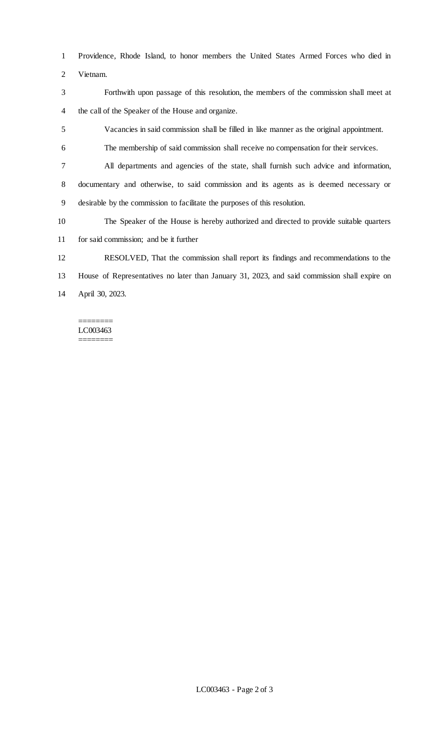Providence, Rhode Island, to honor members the United States Armed Forces who died in Vietnam.

 Forthwith upon passage of this resolution, the members of the commission shall meet at the call of the Speaker of the House and organize.

Vacancies in said commission shall be filled in like manner as the original appointment.

The membership of said commission shall receive no compensation for their services.

All departments and agencies of the state, shall furnish such advice and information,

 documentary and otherwise, to said commission and its agents as is deemed necessary or desirable by the commission to facilitate the purposes of this resolution.

The Speaker of the House is hereby authorized and directed to provide suitable quarters

for said commission; and be it further

 RESOLVED, That the commission shall report its findings and recommendations to the House of Representatives no later than January 31, 2023, and said commission shall expire on April 30, 2023.

#### ======== LC003463

========